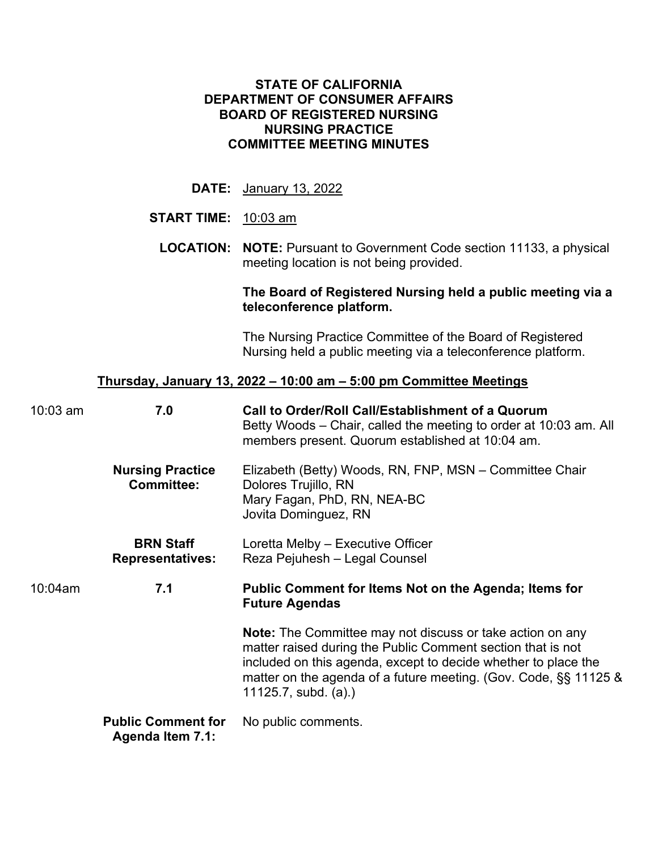# **STATE OF CALIFORNIA DEPARTMENT OF CONSUMER AFFAIRS BOARD OF REGISTERED NURSING NURSING PRACTICE COMMITTEE MEETING MINUTES**

**DATE:** January 13, 2022

### **START TIME:** 10:03 am

**LOCATION: NOTE:** Pursuant to Government Code section 11133, a physical meeting location is not being provided.

### **The Board of Registered Nursing held a public meeting via a teleconference platform.**

The Nursing Practice Committee of the Board of Registered Nursing held a public meeting via a teleconference platform.

# **Thursday, January 13, 2022 – 10:00 am – 5:00 pm Committee Meetings**

| $10:03$ am | 7.0                                                  | Call to Order/Roll Call/Establishment of a Quorum<br>Betty Woods – Chair, called the meeting to order at 10:03 am. All<br>members present. Quorum established at 10:04 am.                                                                                                                       |
|------------|------------------------------------------------------|--------------------------------------------------------------------------------------------------------------------------------------------------------------------------------------------------------------------------------------------------------------------------------------------------|
|            | <b>Nursing Practice</b><br><b>Committee:</b>         | Elizabeth (Betty) Woods, RN, FNP, MSN - Committee Chair<br>Dolores Trujillo, RN<br>Mary Fagan, PhD, RN, NEA-BC<br>Jovita Dominguez, RN                                                                                                                                                           |
|            | <b>BRN Staff</b><br><b>Representatives:</b>          | Loretta Melby – Executive Officer<br>Reza Pejuhesh - Legal Counsel                                                                                                                                                                                                                               |
| 10:04am    | 7.1                                                  | Public Comment for Items Not on the Agenda; Items for<br><b>Future Agendas</b>                                                                                                                                                                                                                   |
|            |                                                      | <b>Note:</b> The Committee may not discuss or take action on any<br>matter raised during the Public Comment section that is not<br>included on this agenda, except to decide whether to place the<br>matter on the agenda of a future meeting. (Gov. Code, §§ 11125 &<br>$11125.7$ , subd. (a).) |
|            | <b>Public Comment for</b><br><b>Agenda Item 7.1:</b> | No public comments.                                                                                                                                                                                                                                                                              |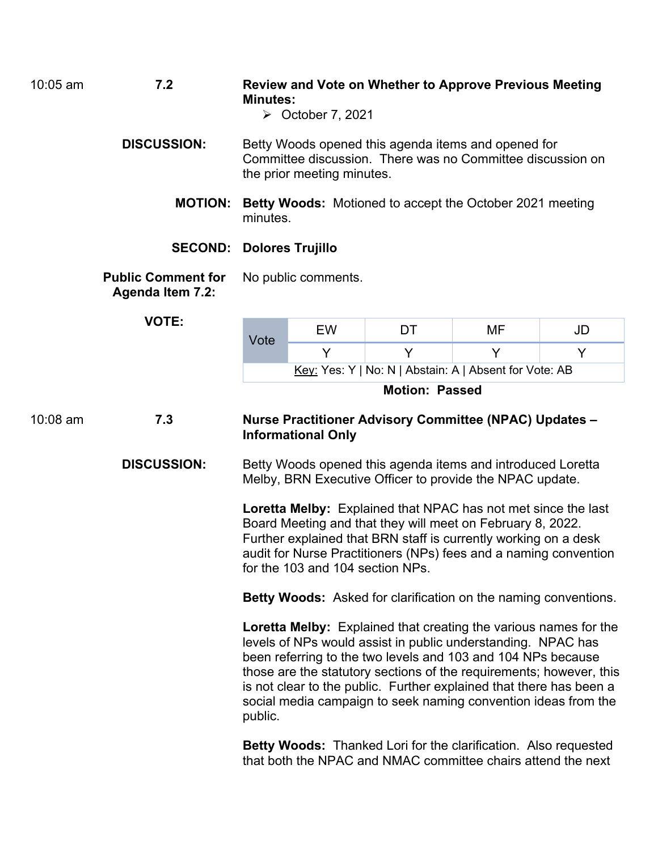10:05 am **7.2 Review and Vote on Whether to Approve Previous Meeting Minutes:** 

- $\triangleright$  October 7, 2021
- the prior meeting minutes. **DISCUSSION:** Betty Woods opened this agenda items and opened for Committee discussion. There was no Committee discussion on
	- **MOTION: Betty Woods:** Motioned to accept the October 2021 meeting minutes.

#### **SECOND: Dolores Trujillo**

**Public Comment for** No public comments. **Agenda Item 7.2:** 

#### **VOTE:**

| Vote                                                   | FW |  | MF |  |  |
|--------------------------------------------------------|----|--|----|--|--|
|                                                        |    |  |    |  |  |
| Key: Yes: Y   No: N   Abstain: A   Absent for Vote: AB |    |  |    |  |  |

**Motion: Passed** 

# 10:08 am **7.3 Nurse Practitioner Advisory Committee (NPAC) Updates – Informational Only**

**DISCUSSION:** Betty Woods opened this agenda items and introduced Loretta Melby, BRN Executive Officer to provide the NPAC update.

> **Loretta Melby:** Explained that NPAC has not met since the last Board Meeting and that they will meet on February 8, 2022. Further explained that BRN staff is currently working on a desk audit for Nurse Practitioners (NPs) fees and a naming convention for the 103 and 104 section NPs.

> **Betty Woods:** Asked for clarification on the naming conventions.

**Loretta Melby:** Explained that creating the various names for the levels of NPs would assist in public understanding. NPAC has been referring to the two levels and 103 and 104 NPs because those are the statutory sections of the requirements; however, this is not clear to the public. Further explained that there has been a social media campaign to seek naming convention ideas from the public.

**Betty Woods:** Thanked Lori for the clarification. Also requested that both the NPAC and NMAC committee chairs attend the next